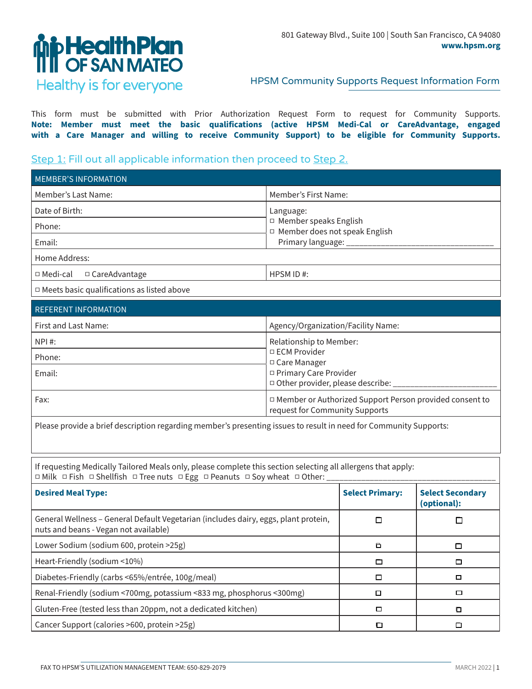

## HPSM Community Supports Request Information Form

This form must be submitted with Prior Authorization Request Form to request for Community Supports. **Note: Member must meet the basic qualifications (active HPSM Medi-Cal or CareAdvantage, engaged with a Care Manager and willing to receive Community Support) to be eligible for Community Supports.**

## Step 1: Fill out all applicable information then proceed to Step 2.

| <b>MEMBER'S INFORMATION</b>                       |                                                                 |  |
|---------------------------------------------------|-----------------------------------------------------------------|--|
| Member's Last Name:                               | Member's First Name:                                            |  |
| Date of Birth:                                    | Language:                                                       |  |
| Phone:                                            | $\Box$ Member speaks English<br>□ Member does not speak English |  |
| Email:                                            | Primary language: _________                                     |  |
| Home Address:                                     |                                                                 |  |
| $\Box$ Medi-cal<br>$\Box$ CareAdvantage           | HPSM ID#:                                                       |  |
| $\Box$ Meets basic qualifications as listed above |                                                                 |  |

| <b>REFERENT INFORMATION</b> |                                                                                             |
|-----------------------------|---------------------------------------------------------------------------------------------|
| First and Last Name:        | Agency/Organization/Facility Name:                                                          |
| NPI #:                      | Relationship to Member:<br>$\Box$ ECM Provider<br>□ Care Manager                            |
| Phone:                      |                                                                                             |
| Email:                      | □ Primary Care Provider<br>□ Other provider, please describe:                               |
| Fax:                        | □ Member or Authorized Support Person provided consent to<br>request for Community Supports |

Please provide a brief description regarding member's presenting issues to result in need for Community Supports:

If requesting Medically Tailored Meals only, please complete this section selecting all allergens that apply: □ Milk □ Fish □ Shellfish □ Tree nuts □ Egg □ Peanuts □ Soy wheat □ Other:

| <b>Desired Meal Type:</b>                                                                                                    | <b>Select Primary:</b> | <b>Select Secondary</b><br>(optional): |
|------------------------------------------------------------------------------------------------------------------------------|------------------------|----------------------------------------|
| General Wellness - General Default Vegetarian (includes dairy, eggs, plant protein,<br>nuts and beans - Vegan not available) |                        |                                        |
| Lower Sodium (sodium 600, protein >25g)                                                                                      | $\Box$                 | $\Box$                                 |
| Heart-Friendly (sodium <10%)                                                                                                 | □                      | □                                      |
| Diabetes-Friendly (carbs <65%/entrée, 100g/meal)                                                                             | □                      | □                                      |
| Renal-Friendly (sodium <700mg, potassium <833 mg, phosphorus <300mg)                                                         | □                      | □                                      |
| Gluten-Free (tested less than 20ppm, not a dedicated kitchen)                                                                | □                      | O                                      |
| Cancer Support (calories >600, protein >25g)                                                                                 |                        |                                        |